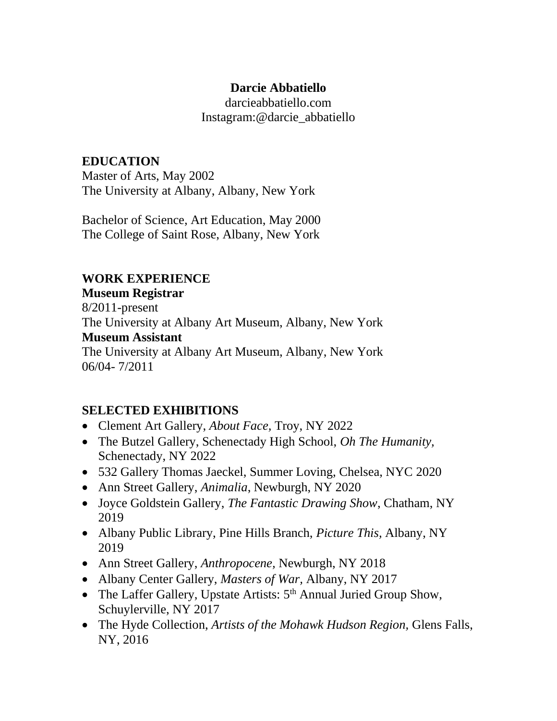#### **Darcie Abbatiello**

darcieabbatiello.com Instagram:@darcie\_abbatiello

# **EDUCATION**

Master of Arts, May 2002 The University at Albany, Albany, New York

Bachelor of Science, Art Education, May 2000 The College of Saint Rose, Albany, New York

### **WORK EXPERIENCE**

# **Museum Registrar**

8/2011-present The University at Albany Art Museum, Albany, New York **Museum Assistant** The University at Albany Art Museum, Albany, New York 06/04- 7/2011

## **SELECTED EXHIBITIONS**

- Clement Art Gallery, *About Face,* Troy, NY 2022
- The Butzel Gallery, Schenectady High School, *Oh The Humanity,* Schenectady, NY 2022
- 532 Gallery Thomas Jaeckel, Summer Loving, Chelsea, NYC 2020
- Ann Street Gallery, *Animalia*, Newburgh, NY 2020
- Joyce Goldstein Gallery, *The Fantastic Drawing Show*, Chatham, NY 2019
- Albany Public Library, Pine Hills Branch, *Picture This,* Albany, NY 2019
- Ann Street Gallery, *Anthropocene,* Newburgh, NY 2018
- Albany Center Gallery, *Masters of War,* Albany, NY 2017
- The Laffer Gallery, Upstate Artists:  $5<sup>th</sup>$  Annual Juried Group Show, Schuylerville, NY 2017
- The Hyde Collection, *Artists of the Mohawk Hudson Region,* Glens Falls, NY, 2016